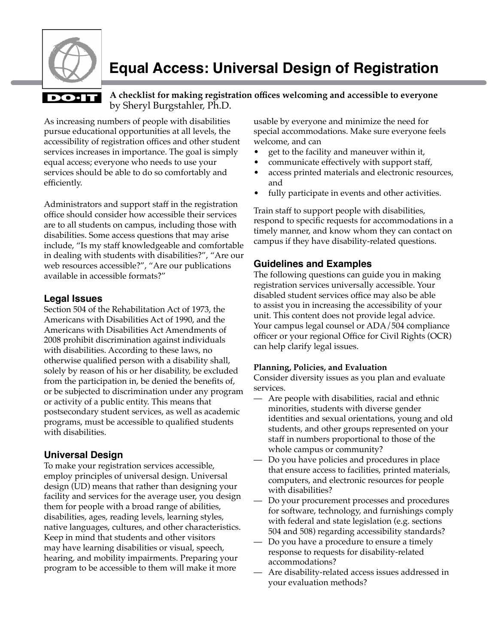

# **Equal Access: Universal Design of Registration**

## **DO**·IT

by Sheryl Burgstahler, Ph.D. **A checklist for making registration offices welcoming and accessible to everyone**

As increasing numbers of people with disabilities pursue educational opportunities at all levels, the accessibility of registration offices and other student services increases in importance. The goal is simply equal access; everyone who needs to use your services should be able to do so comfortably and efficiently.

Administrators and support staff in the registration office should consider how accessible their services are to all students on campus, including those with disabilities. Some access questions that may arise include, "Is my staff knowledgeable and comfortable in dealing with students with disabilities?", "Are our web resources accessible?", "Are our publications available in accessible formats?"

### **Legal Issues**

Section 504 of the Rehabilitation Act of 1973, the Americans with Disabilities Act of 1990, and the Americans with Disabilities Act Amendments of 2008 prohibit discrimination against individuals with disabilities. According to these laws, no otherwise qualified person with a disability shall, solely by reason of his or her disability, be excluded from the participation in, be denied the benefits of, or be subjected to discrimination under any program or activity of a public entity. This means that postsecondary student services, as well as academic programs, must be accessible to qualified students with disabilities.

### **Universal Design**

To make your registration services accessible, employ principles of universal design. Universal design (UD) means that rather than designing your facility and services for the average user, you design them for people with a broad range of abilities, disabilities, ages, reading levels, learning styles, native languages, cultures, and other characteristics. Keep in mind that students and other visitors may have learning disabilities or visual, speech, hearing, and mobility impairments. Preparing your program to be accessible to them will make it more

usable by everyone and minimize the need for special accommodations. Make sure everyone feels welcome, and can

- get to the facility and maneuver within it,
- communicate effectively with support staff,
- access printed materials and electronic resources, and
- fully participate in events and other activities.

Train staff to support people with disabilities, respond to specific requests for accommodations in a timely manner, and know whom they can contact on campus if they have disability-related questions.

### **Guidelines and Examples**

The following questions can guide you in making registration services universally accessible. Your disabled student services office may also be able to assist you in increasing the accessibility of your unit. This content does not provide legal advice. Your campus legal counsel or ADA/504 compliance officer or your regional Office for Civil Rights (OCR) can help clarify legal issues.

#### **Planning, Policies, and Evaluation**

Consider diversity issues as you plan and evaluate services.

- Are people with disabilities, racial and ethnic minorities, students with diverse gender identities and sexual orientations, young and old students, and other groups represented on your staff in numbers proportional to those of the whole campus or community?
- Do you have policies and procedures in place that ensure access to facilities, printed materials, computers, and electronic resources for people with disabilities?
- Do your procurement processes and procedures for software, technology, and furnishings comply with federal and state legislation (e.g. sections 504 and 508) regarding accessibility standards?
- Do you have a procedure to ensure a timely response to requests for disability-related accommodations?
- Are disability-related access issues addressed in your evaluation methods?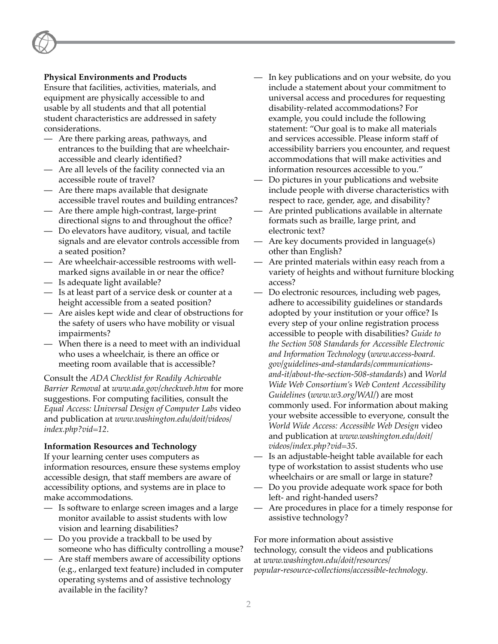#### **Physical Environments and Products**

Ensure that facilities, activities, materials, and equipment are physically accessible to and usable by all students and that all potential student characteristics are addressed in safety considerations.

- Are there parking areas, pathways, and entrances to the building that are wheelchairaccessible and clearly identified?
- Are all levels of the facility connected via an accessible route of travel?
- Are there maps available that designate accessible travel routes and building entrances?
- Are there ample high-contrast, large-print directional signs to and throughout the office?
- Do elevators have auditory, visual, and tactile signals and are elevator controls accessible from a seated position?
- Are wheelchair-accessible restrooms with wellmarked signs available in or near the office?
- Is adequate light available?
- Is at least part of a service desk or counter at a height accessible from a seated position?
- Are aisles kept wide and clear of obstructions for the safety of users who have mobility or visual impairments?
- When there is a need to meet with an individual who uses a wheelchair, is there an office or meeting room available that is accessible?

Consult the *ADA Checklist for Readily Achievable Barrier Removal* at *[www.ada.gov/checkweb.htm](http://www.ada.gov/checkweb.htm)* for more suggestions. For computing facilities, consult the *Equal Access: Universal Design of Computer Labs* video and publication at *[www.washington.edu/doit/videos/](http://www.washington.edu/doit/videos/index.php?vid=12) [index.php?vid=12](http://www.washington.edu/doit/videos/index.php?vid=12)*.

#### **Information Resources and Technology**

If your learning center uses computers as information resources, ensure these systems employ accessible design, that staff members are aware of accessibility options, and systems are in place to make accommodations.

- Is software to enlarge screen images and a large monitor available to assist students with low vision and learning disabilities?
- Do you provide a trackball to be used by someone who has difficulty controlling a mouse?
- Are staff members aware of accessibility options (e.g., enlarged text feature) included in computer operating systems and of assistive technology available in the facility?
- In key publications and on your website, do you include a statement about your commitment to universal access and procedures for requesting disability-related accommodations? For example, you could include the following statement: "Our goal is to make all materials and services accessible. Please inform staff of accessibility barriers you encounter, and request accommodations that will make activities and information resources accessible to you."
- Do pictures in your publications and website include people with diverse characteristics with respect to race, gender, age, and disability?
- Are printed publications available in alternate formats such as braille, large print, and electronic text?
- Are key documents provided in language(s) other than English?
- Are printed materials within easy reach from a variety of heights and without furniture blocking access?
- Do electronic resources, including web pages, adhere to accessibility guidelines or standards adopted by your institution or your office? Is every step of your online registration process accessible to people with disabilities? *Guide to the Section 508 Standards for Accessible Electronic and Information Technology* (*[www.access-board.](http://www.access-board.gov/guidelines-and-standards/communications-and-it/about-the-section-508-standards) [gov/guidelines-and-standards/communications](http://www.access-board.gov/guidelines-and-standards/communications-and-it/about-the-section-508-standards)[and-it/about-the-section-508-standards](http://www.access-board.gov/guidelines-and-standards/communications-and-it/about-the-section-508-standards)*) and *World Wide Web Consortium's Web Content Accessibility Guidelines* (*[www.w3.org/WAI/](http://www.w3.org/WAI/)*) are most commonly used. For information about making your website accessible to everyone, consult the *World Wide Access: Accessible Web Design* video and publication at *[www.washington.edu/doit/](http://www.washington.edu/doit/videos/index.php?vid=35) [videos/index.php?vid=35](http://www.washington.edu/doit/videos/index.php?vid=35)*.
- Is an adjustable-height table available for each type of workstation to assist students who use wheelchairs or are small or large in stature?
- Do you provide adequate work space for both left- and right-handed users?
- Are procedures in place for a timely response for assistive technology?

For more information about assistive technology, consult the videos and publications at *[www.washington.edu/doit/resources/](http://www.washington.edu/doit/resources/popular-resource-collections/accessible-technology) [popular-resource-collections/accessible-technology](http://www.washington.edu/doit/resources/popular-resource-collections/accessible-technology)*.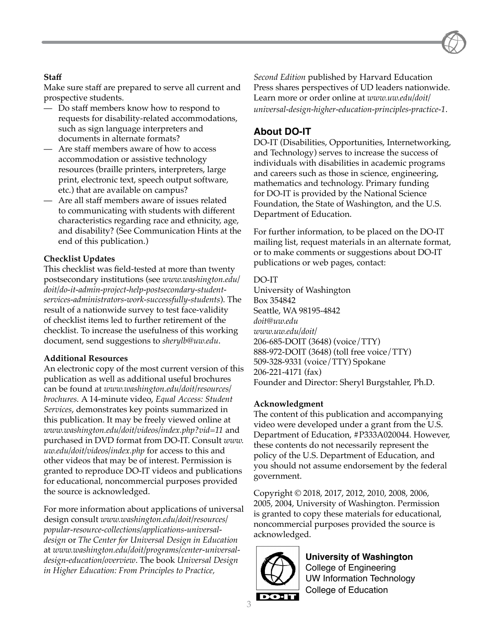#### **Staff**

Make sure staff are prepared to serve all current and prospective students.

- Do staff members know how to respond to requests for disability-related accommodations, such as sign language interpreters and documents in alternate formats?
- Are staff members aware of how to access accommodation or assistive technology resources (braille printers, interpreters, large print, electronic text, speech output software, etc.) that are available on campus?
- Are all staff members aware of issues related to communicating with students with different characteristics regarding race and ethnicity, age, and disability? (See Communication Hints at the end of this publication.)

#### **Checklist Updates**

This checklist was field-tested at more than twenty postsecondary institutions (see *[www.washington.edu/](http://www.washington.edu/doit/do-it-admin-project-help-postsecondary-student-services-administrators-work-successfully-students) [doit/do-it-admin-project-help-postsecondary-student](http://www.washington.edu/doit/do-it-admin-project-help-postsecondary-student-services-administrators-work-successfully-students)[services-administrators-work-successfully-students](http://www.washington.edu/doit/do-it-admin-project-help-postsecondary-student-services-administrators-work-successfully-students)*). The result of a nationwide survey to test face-validity of checklist items led to further retirement of the checklist. To increase the usefulness of this working document, send suggestions to *[sherylb@uw.edu](mailto:sherylb@uw.edu)*.

#### **Additional Resources**

An electronic copy of the most current version of this publication as well as additional useful brochures can be found at *[www.washington.edu/doit/resources/](http://www.washington.edu/doit/resources/brochures) [brochures.](http://www.washington.edu/doit/resources/brochures)* A 14-minute video, *Equal Access: Student Services*, demonstrates key points summarized in this publication. It may be freely viewed online at *[www.washington.edu/doit/videos/index.php?vid=11](http://www.washington.edu/doit/videos/index.php?vid=11)* and purchased in DVD format from DO-IT. Consult *[www.](http://www.uw.edu/doit/videos/index.php) [uw.edu/doit/videos/index.php](http://www.uw.edu/doit/videos/index.php)* for access to this and other videos that may be of interest. Permission is granted to reproduce DO-IT videos and publications for educational, noncommercial purposes provided the source is acknowledged.

For more information about applications of universal design consult *[www.washington.edu/doit/resources/](http://www.washington.edu/doit/resources/popular-resource-collections/applications-universal-design) [popular-resource-collections/applications-universal](http://www.washington.edu/doit/resources/popular-resource-collections/applications-universal-design)[design](http://www.washington.edu/doit/resources/popular-resource-collections/applications-universal-design)* or *The Center for Universal Design in Education* at *[www.washington.edu/doit/programs/center-universal](http://www.washington.edu/doit/programs/center-universal-design-education/overview)[design-education/overview](http://www.washington.edu/doit/programs/center-universal-design-education/overview)*. The book *Universal Design in Higher Education: From Principles to Practice,* 

*Second Edition* published by Harvard Education Press shares perspectives of UD leaders nationwide. Learn more or order online at *[www.uw.edu/doit/](http://www.uw.edu/doit/universal-design-higher-education-principles-practice-1) [universal-design-higher-education-principles-practice-1](http://www.uw.edu/doit/universal-design-higher-education-principles-practice-1)*.

### **About DO-IT**

DO-IT (Disabilities, Opportunities, Internetworking, and Technology) serves to increase the success of individuals with disabilities in academic programs and careers such as those in science, engineering, mathematics and technology. Primary funding for DO-IT is provided by the National Science Foundation, the State of Washington, and the U.S. Department of Education.

For further information, to be placed on the DO-IT mailing list, request materials in an alternate format, or to make comments or suggestions about DO-IT publications or web pages, contact:

#### DO-IT

University of Washington Box 354842 Seattle, WA 98195-4842 *[doit@uw.edu](mailto:doit@uw.edu) [www.uw.edu/doit/](http://www.uw.edu/doit/)* 206-685-DOIT (3648) (voice/TTY) 888-972-DOIT (3648) (toll free voice/TTY) 509-328-9331 (voice/TTY) Spokane 206-221-4171 (fax) Founder and Director: Sheryl Burgstahler, Ph.D.

#### **Acknowledgment**

The content of this publication and accompanying video were developed under a grant from the U.S. Department of Education, #P333A020044. However, these contents do not necessarily represent the policy of the U.S. Department of Education, and you should not assume endorsement by the federal government.

Copyright © 2018, 2017, 2012, 2010, 2008, 2006, 2005, 2004, University of Washington. Permission is granted to copy these materials for educational, noncommercial purposes provided the source is acknowledged.



**University of Washington** College of Engineering UW Information Technology College of Education